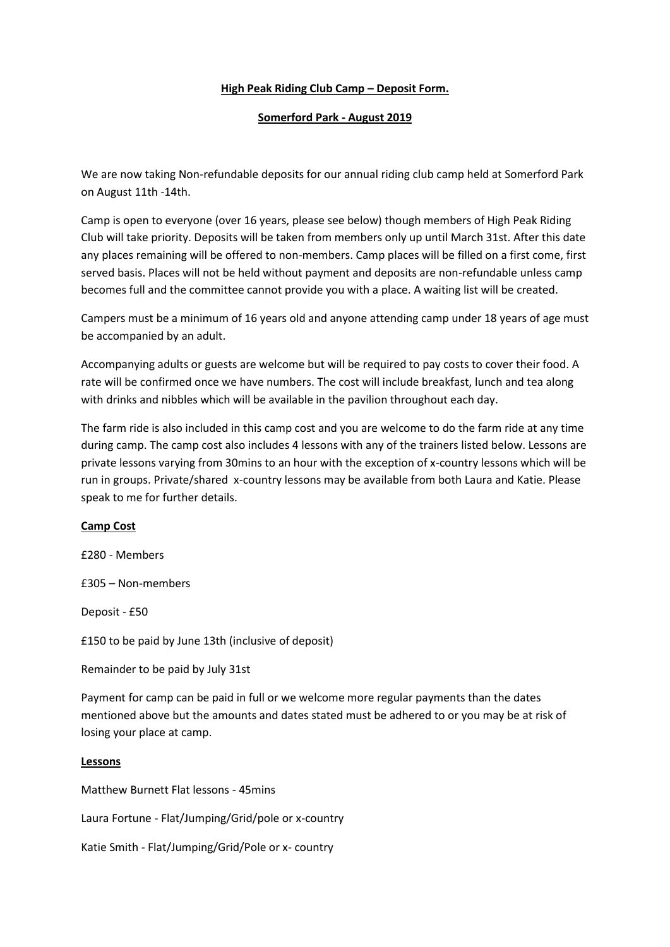## **High Peak Riding Club Camp – Deposit Form.**

## **Somerford Park - August 2019**

We are now taking Non-refundable deposits for our annual riding club camp held at Somerford Park on August 11th -14th.

Camp is open to everyone (over 16 years, please see below) though members of High Peak Riding Club will take priority. Deposits will be taken from members only up until March 31st. After this date any places remaining will be offered to non-members. Camp places will be filled on a first come, first served basis. Places will not be held without payment and deposits are non-refundable unless camp becomes full and the committee cannot provide you with a place. A waiting list will be created.

Campers must be a minimum of 16 years old and anyone attending camp under 18 years of age must be accompanied by an adult.

Accompanying adults or guests are welcome but will be required to pay costs to cover their food. A rate will be confirmed once we have numbers. The cost will include breakfast, lunch and tea along with drinks and nibbles which will be available in the pavilion throughout each day.

The farm ride is also included in this camp cost and you are welcome to do the farm ride at any time during camp. The camp cost also includes 4 lessons with any of the trainers listed below. Lessons are private lessons varying from 30mins to an hour with the exception of x-country lessons which will be run in groups. Private/shared x-country lessons may be available from both Laura and Katie. Please speak to me for further details.

## **Camp Cost**

£280 - Members

£305 – Non-members

Deposit - £50

£150 to be paid by June 13th (inclusive of deposit)

Remainder to be paid by July 31st

Payment for camp can be paid in full or we welcome more regular payments than the dates mentioned above but the amounts and dates stated must be adhered to or you may be at risk of losing your place at camp.

## **Lessons**

Matthew Burnett Flat lessons - 45mins

Laura Fortune - Flat/Jumping/Grid/pole or x-country

Katie Smith - Flat/Jumping/Grid/Pole or x- country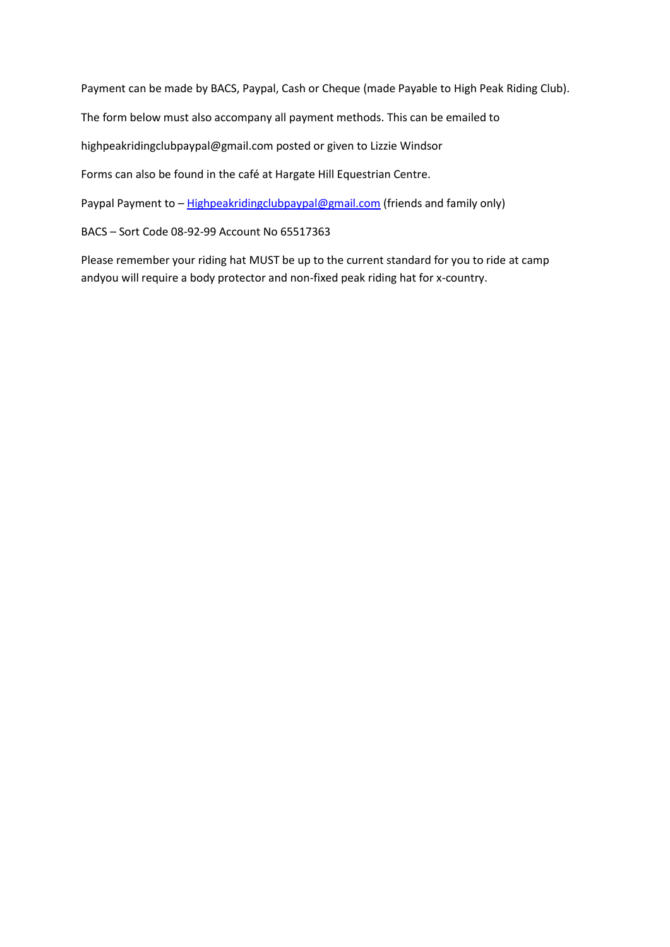Payment can be made by BACS, Paypal, Cash or Cheque (made Payable to High Peak Riding Club).

The form below must also accompany all payment methods. This can be emailed to

highpeakridingclubpaypal@gmail.com posted or given to Lizzie Windsor

Forms can also be found in the café at Hargate Hill Equestrian Centre.

Paypal Payment to - [Highpeakridingclubpaypal@gmail.com](mailto:Highpeakridingclubpaypal@gmail.com) (friends and family only)

BACS – Sort Code 08-92-99 Account No 65517363

Please remember your riding hat MUST be up to the current standard for you to ride at camp andyou will require a body protector and non-fixed peak riding hat for x-country.